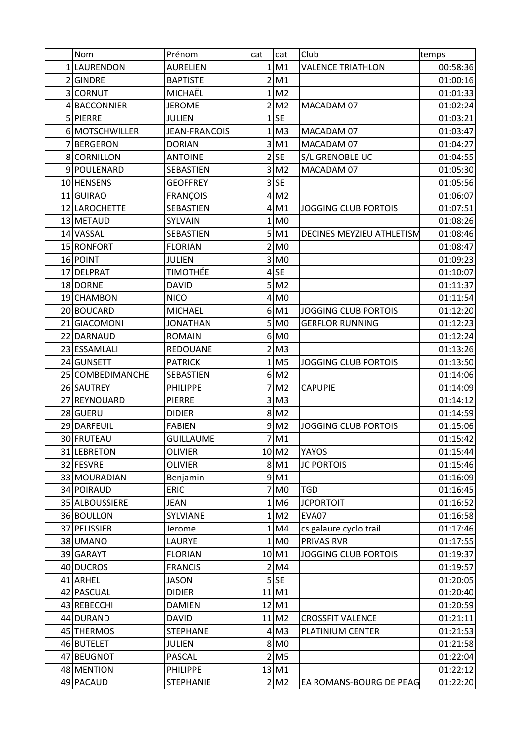| Nom              | Prénom           | cat | cat                | Club                        | temps    |
|------------------|------------------|-----|--------------------|-----------------------------|----------|
| 1 LAURENDON      | AURELIEN         | 1   | M1                 | <b>VALENCE TRIATHLON</b>    | 00:58:36 |
| 2GINDRE          | <b>BAPTISTE</b>  | 2   | M1                 |                             | 01:00:16 |
| 3 CORNUT         | MICHAËL          |     | 1 M2               |                             | 01:01:33 |
| 4 BACCONNIER     | <b>JEROME</b>    |     | $2$ M <sub>2</sub> | MACADAM 07                  | 01:02:24 |
| 5 PIERRE         | <b>JULIEN</b>    | 1   | <b>SE</b>          |                             | 01:03:21 |
| 6 MOTSCHWILLER   | JEAN-FRANCOIS    | 1   | M <sub>3</sub>     | MACADAM 07                  | 01:03:47 |
| 7BERGERON        | <b>DORIAN</b>    | 3   | M1                 | MACADAM 07                  | 01:04:27 |
| 8 CORNILLON      | <b>ANTOINE</b>   |     | $2$ SE             | S/L GRENOBLE UC             | 01:04:55 |
| 9 POULENARD      | SEBASTIEN        | 3   | M <sub>2</sub>     | MACADAM 07                  | 01:05:30 |
| 10 HENSENS       | <b>GEOFFREY</b>  |     | $3$ SE             |                             | 01:05:56 |
| 11 GUIRAO        | <b>FRANÇOIS</b>  | 4   | M <sub>2</sub>     |                             | 01:06:07 |
| 12 LAROCHETTE    | SEBASTIEN        | 4   | M1                 | JOGGING CLUB PORTOIS        | 01:07:51 |
| 13 METAUD        | SYLVAIN          | 1   | M <sub>0</sub>     |                             | 01:08:26 |
| 14 VASSAL        | SEBASTIEN        |     | $5$ M1             | DECINES MEYZIEU ATHLETISM   | 01:08:46 |
| 15 RONFORT       | <b>FLORIAN</b>   |     | $2$ MO             |                             | 01:08:47 |
| 16 POINT         | <b>JULIEN</b>    | 3   | M <sub>0</sub>     |                             | 01:09:23 |
| 17 DELPRAT       | <b>TIMOTHÉE</b>  | 4   | <b>SE</b>          |                             | 01:10:07 |
| 18 DORNE         | <b>DAVID</b>     | 5   | M <sub>2</sub>     |                             | 01:11:37 |
| 19 CHAMBON       | <b>NICO</b>      |     | $4$ MO             |                             | 01:11:54 |
| 20 BOUCARD       | <b>MICHAEL</b>   |     | $6$ M <sub>1</sub> | <b>JOGGING CLUB PORTOIS</b> | 01:12:20 |
| 21 GIACOMONI     | <b>JONATHAN</b>  |     | $5$ MO             | <b>GERFLOR RUNNING</b>      | 01:12:23 |
| 22 DARNAUD       | <b>ROMAIN</b>    |     | 6 MO               |                             | 01:12:24 |
| 23 ESSAMLALI     | <b>REDOUANE</b>  | 2   | M <sub>3</sub>     |                             | 01:13:26 |
| 24 GUNSETT       | <b>PATRICK</b>   |     | $1$ M <sub>5</sub> | JOGGING CLUB PORTOIS        | 01:13:50 |
| 25 COMBEDIMANCHE | SEBASTIEN        |     | $6$ M <sub>2</sub> |                             | 01:14:06 |
| 26 SAUTREY       | <b>PHILIPPE</b>  | 7   | M <sub>2</sub>     | <b>CAPUPIE</b>              | 01:14:09 |
| 27 REYNOUARD     | <b>PIERRE</b>    |     | $3$ M <sub>3</sub> |                             | 01:14:12 |
| 28 GUERU         | <b>DIDIER</b>    |     | $8$ M <sub>2</sub> |                             | 01:14:59 |
| 29 DARFEUIL      | <b>FABIEN</b>    |     | $9$ M <sub>2</sub> | <b>JOGGING CLUB PORTOIS</b> | 01:15:06 |
| 30 FRUTEAU       | <b>GUILLAUME</b> |     | $7$ M <sub>1</sub> |                             | 01:15:42 |
| 31 LEBRETON      | <b>OLIVIER</b>   |     | 10 M <sub>2</sub>  | <b>YAYOS</b>                | 01:15:44 |
| 32 FESVRE        | <b>OLIVIER</b>   |     | 8 M1               | <b>JC PORTOIS</b>           | 01:15:46 |
| 33 MOURADIAN     | Benjamin         |     | 9 M1               |                             | 01:16:09 |
| 34 POIRAUD       | <b>ERIC</b>      |     | $7\,$ MO           | <b>TGD</b>                  | 01:16:45 |
| 35 ALBOUSSIERE   | <b>JEAN</b>      |     | $1$ M6             | <b>JCPORTOIT</b>            | 01:16:52 |
| 36 BOULLON       | SYLVIANE         |     | 1 M2               | EVA07                       | 01:16:58 |
| 37 PELISSIER     | Jerome           |     | 1 M4               | cs galaure cyclo trail      | 01:17:46 |
| 38 UMANO         | LAURYE           | 1   | M <sub>0</sub>     | <b>PRIVAS RVR</b>           | 01:17:55 |
| 39 GARAYT        | <b>FLORIAN</b>   |     | 10 M1              | JOGGING CLUB PORTOIS        | 01:19:37 |
| 40 DUCROS        | <b>FRANCIS</b>   |     | 2 M4               |                             | 01:19:57 |
| 41 ARHEL         | <b>JASON</b>     |     | $5$ SE             |                             | 01:20:05 |
| 42 PASCUAL       | <b>DIDIER</b>    |     | 11 M1              |                             | 01:20:40 |
| 43 REBECCHI      | <b>DAMIEN</b>    |     | 12 M1              |                             | 01:20:59 |
| 44 DURAND        | <b>DAVID</b>     |     | 11 M2              | <b>CROSSFIT VALENCE</b>     | 01:21:11 |
| 45 THERMOS       | <b>STEPHANE</b>  |     | $4$ M <sub>3</sub> | PLATINIUM CENTER            | 01:21:53 |
| 46 BUTELET       | <b>JULIEN</b>    |     | 8 MO               |                             | 01:21:58 |
| 47 BEUGNOT       | PASCAL           |     | $2$ M <sub>5</sub> |                             | 01:22:04 |
| 48 MENTION       | <b>PHILIPPE</b>  |     | 13 M1              |                             | 01:22:12 |
| 49 PACAUD        | <b>STEPHANIE</b> |     | 2 M2               | EA ROMANS-BOURG DE PEAG     | 01:22:20 |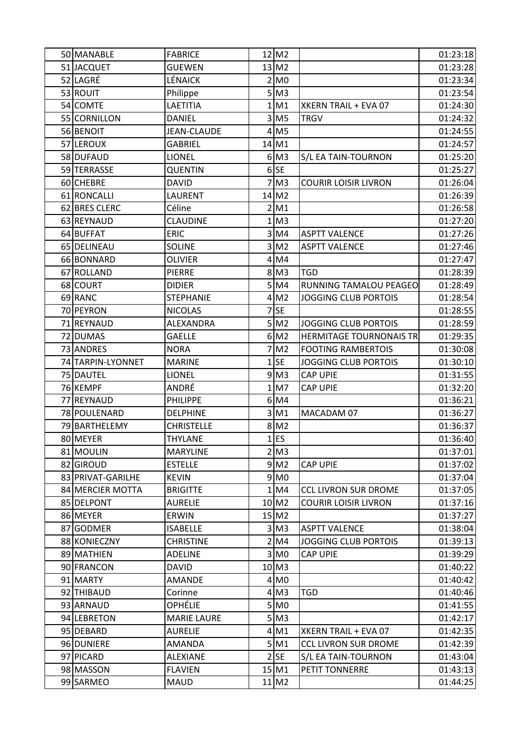| 50 MANABLE        | <b>FABRICE</b>     |              | 12 M <sub>2</sub>   |                                | 01:23:18 |
|-------------------|--------------------|--------------|---------------------|--------------------------------|----------|
| 51 JACQUET        | <b>GUEWEN</b>      |              | 13 M <sub>2</sub>   |                                | 01:23:28 |
| 52 LAGRÉ          | <b>LÉNAICK</b>     |              | $2$ MO              |                                | 01:23:34 |
| 53 ROUIT          | Philippe           |              | $5$ M <sub>3</sub>  |                                | 01:23:54 |
| 54 COMTE          | LAETITIA           | 1            | M1                  | XKERN TRAIL + EVA 07           | 01:24:30 |
| 55 CORNILLON      | <b>DANIEL</b>      |              | $3$ M <sub>5</sub>  | <b>TRGV</b>                    | 01:24:32 |
| 56 BENOIT         | <b>JEAN-CLAUDE</b> |              | $4$ M <sub>5</sub>  |                                | 01:24:55 |
| 57 LEROUX         | <b>GABRIEL</b>     |              | 14 M1               |                                | 01:24:57 |
| 58 DUFAUD         | <b>LIONEL</b>      |              | $6$ M <sub>3</sub>  | S/L EA TAIN-TOURNON            | 01:25:20 |
| 59 TERRASSE       | <b>QUENTIN</b>     |              | $6$ SE              |                                | 01:25:27 |
| 60 CHEBRE         | <b>DAVID</b>       | 7            | M <sub>3</sub>      | <b>COURIR LOISIR LIVRON</b>    | 01:26:04 |
| 61 RONCALLI       | <b>LAURENT</b>     |              | 14 M2               |                                | 01:26:39 |
| 62 BRES CLERC     | Céline             |              | 2 M1                |                                | 01:26:58 |
| 63 REYNAUD        | <b>CLAUDINE</b>    | 1            | M <sub>3</sub>      |                                | 01:27:20 |
| 64 BUFFAT         | <b>ERIC</b>        |              | 3 M4                | <b>ASPTT VALENCE</b>           | 01:27:26 |
| 65 DELINEAU       | <b>SOLINE</b>      |              | $3$ M <sub>2</sub>  | <b>ASPTT VALENCE</b>           | 01:27:46 |
| 66 BONNARD        | <b>OLIVIER</b>     | 4            | M4                  |                                | 01:27:47 |
| 67 ROLLAND        | <b>PIERRE</b>      |              | $8$ M <sub>3</sub>  | <b>TGD</b>                     | 01:28:39 |
| 68 COURT          | <b>DIDIER</b>      |              | $5$ M4              | RUNNING TAMALOU PEAGEO         | 01:28:49 |
| 69 RANC           | <b>STEPHANIE</b>   |              | $4$ M <sub>2</sub>  | <b>JOGGING CLUB PORTOIS</b>    | 01:28:54 |
| 70 PEYRON         | <b>NICOLAS</b>     |              | 7 <sub>SE</sub>     |                                | 01:28:55 |
| 71 REYNAUD        | ALEXANDRA          |              | 5 M2                | JOGGING CLUB PORTOIS           | 01:28:59 |
| 72 DUMAS          | <b>GAELLE</b>      |              | $6$ M <sub>2</sub>  | <b>HERMITAGE TOURNONAIS TR</b> | 01:29:35 |
| 73 ANDRES         | <b>NORA</b>        |              | M <sub>2</sub>      | <b>FOOTING RAMBERTOIS</b>      | 01:30:08 |
| 74 TARPIN-LYONNET | <b>MARINE</b>      |              | $1$ SE              | <b>JOGGING CLUB PORTOIS</b>    | 01:30:10 |
| 75 DAUTEL         | LIONEL             |              | $9$ M <sub>3</sub>  | <b>CAP UPIE</b>                | 01:31:55 |
| 76 KEMPF          | ANDRÉ              | $\mathbf{1}$ | M7                  | <b>CAP UPIE</b>                | 01:32:20 |
| 77 REYNAUD        | PHILIPPE           |              | $6$ M4              |                                | 01:36:21 |
| 78 POULENARD      | <b>DELPHINE</b>    | 3            | M1                  | MACADAM 07                     | 01:36:27 |
| 79 BARTHELEMY     | <b>CHRISTELLE</b>  |              | $8$ M <sub>2</sub>  |                                | 01:36:37 |
| 80 MEYER          | THYLANE            |              | $1$ ES              |                                | 01:36:40 |
| 81 MOULIN         | <b>MARYLINE</b>    |              | $2$ M <sub>3</sub>  |                                | 01:37:01 |
| 82 GIROUD         | <b>ESTELLE</b>     |              | $9$ M <sub>2</sub>  | <b>CAP UPIE</b>                | 01:37:02 |
| 83 PRIVAT-GARILHE | <b>KEVIN</b>       |              | $9$ MO              |                                | 01:37:04 |
| 84 MERCIER MOTTA  | <b>BRIGITTE</b>    |              | 1 M4                | <b>CCL LIVRON SUR DROME</b>    | 01:37:05 |
| 85 DELPONT        | <b>AURELIE</b>     |              | 10 M <sub>2</sub>   | <b>COURIR LOISIR LIVRON</b>    | 01:37:16 |
| 86 MEYER          | <b>ERWIN</b>       |              | $15$ M <sub>2</sub> |                                | 01:37:27 |
| 87 GODMER         | <b>ISABELLE</b>    |              | $3$ M <sub>3</sub>  | <b>ASPTT VALENCE</b>           | 01:38:04 |
| 88 KONIECZNY      | <b>CHRISTINE</b>   |              | $2$ M4              | <b>JOGGING CLUB PORTOIS</b>    | 01:39:13 |
| 89 MATHIEN        | <b>ADELINE</b>     |              | $3$ MO              | <b>CAP UPIE</b>                | 01:39:29 |
| 90 FRANCON        | <b>DAVID</b>       |              | 10 M3               |                                | 01:40:22 |
| 91 MARTY          | <b>AMANDE</b>      |              | 4 M <sub>0</sub>    |                                | 01:40:42 |
| 92 THIBAUD        | Corinne            |              | $4$ M <sub>3</sub>  | TGD                            | 01:40:46 |
| 93 ARNAUD         | OPHÉLIE            |              | 5 MO                |                                | 01:41:55 |
| 94 LEBRETON       | <b>MARIE LAURE</b> |              | $5$ M <sub>3</sub>  |                                | 01:42:17 |
| 95 DEBARD         | <b>AURELIE</b>     |              | $4$ M1              | XKERN TRAIL + EVA 07           | 01:42:35 |
| 96 DUNIERE        | <b>AMANDA</b>      |              | 5 M1                | <b>CCL LIVRON SUR DROME</b>    | 01:42:39 |
| 97 PICARD         | <b>ALEXIANE</b>    |              | $2$ $SE$            | S/L EA TAIN-TOURNON            | 01:43:04 |
| 98 MASSON         | <b>FLAVIEN</b>     |              | 15 M1               | PETIT TONNERRE                 | 01:43:13 |
| 99 SARMEO         | <b>MAUD</b>        |              | 11 M <sub>2</sub>   |                                | 01:44:25 |
|                   |                    |              |                     |                                |          |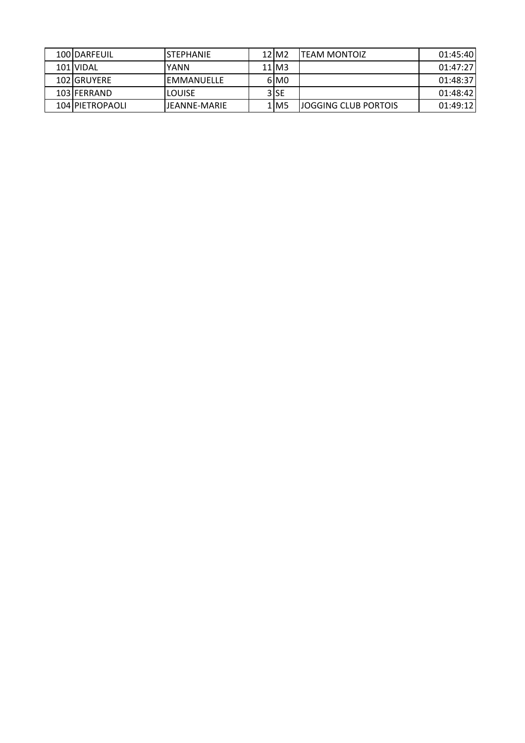| 100IDARFEUIL    | <b>ISTEPHANIE</b> | $12$ $M2$          | ITEAM MONTOIZ         | 01:45:40 |
|-----------------|-------------------|--------------------|-----------------------|----------|
| 101 IVIDAL      | IYANN             | $11$ M3            |                       | 01:47:27 |
| 102IGRUYERE     | IEMMANUELLE       | 6 MO               |                       | 01:48:37 |
| 103 FERRAND     | <b>ILOUISE</b>    | 3 SE               |                       | 01:48:42 |
| 104 PIETROPAOLI | LIFANNF-MARIF     | $1$ M <sub>5</sub> | IJOGGING CLUB PORTOIS | 01:49:12 |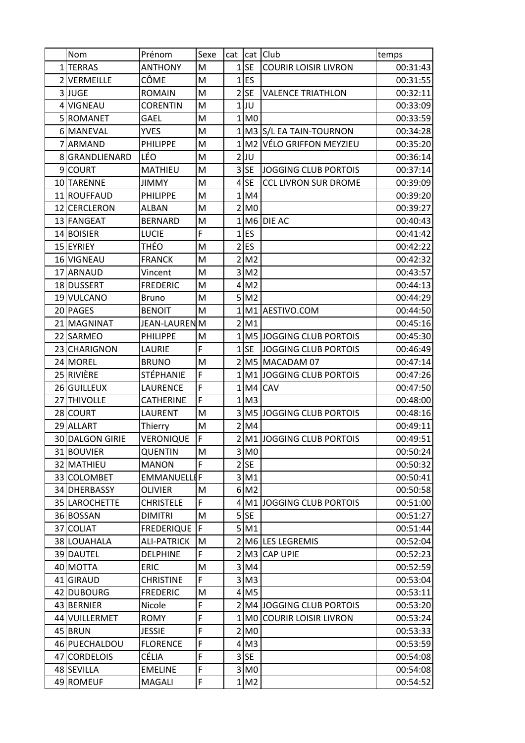|   | Nom             | Prénom             | Sexe           | cat            |                    | cat Club                       | temps    |
|---|-----------------|--------------------|----------------|----------------|--------------------|--------------------------------|----------|
|   | 1TERRAS         | <b>ANTHONY</b>     | M              |                | $1$ SE             | <b>COURIR LOISIR LIVRON</b>    | 00:31:43 |
|   | 2 VERMEILLE     | CÔME               | M              |                | $1$ ES             |                                | 00:31:55 |
|   | 3JUGE           | <b>ROMAIN</b>      | M              | $\overline{2}$ | <b>SE</b>          | <b>VALENCE TRIATHLON</b>       | 00:32:11 |
|   | 4 VIGNEAU       | <b>CORENTIN</b>    | M              |                | 1IJU               |                                | 00:33:09 |
|   | 5 ROMANET       | <b>GAEL</b>        | M              |                | 1 M <sub>0</sub>   |                                | 00:33:59 |
|   | 6 MANEVAL       | <b>YVES</b>        | M              |                |                    | 1 M3 S/L EA TAIN-TOURNON       | 00:34:28 |
| 7 | ARMAND          | <b>PHILIPPE</b>    | M              |                |                    | 1 M2 VÉLO GRIFFON MEYZIEU      | 00:35:20 |
|   | 8 GRANDLIENARD  | LÉO                | M              |                | $2$ UU             |                                | 00:36:14 |
|   | 9 COURT         | MATHIEU            | M              | 3              | <b>SE</b>          | JOGGING CLUB PORTOIS           | 00:37:14 |
|   | 10 TARENNE      | <b>JIMMY</b>       | M              |                | $4$ SE             | <b>CCL LIVRON SUR DROME</b>    | 00:39:09 |
|   | 11 ROUFFAUD     | <b>PHILIPPE</b>    | M              |                | 1 M4               |                                | 00:39:20 |
|   | 12 CERCLERON    | <b>ALBAN</b>       | M              |                | $2$ MO             |                                | 00:39:27 |
|   | 13 FANGEAT      | <b>BERNARD</b>     | M              |                |                    | 1 M6 DIE AC                    | 00:40:43 |
|   | 14 BOISIER      | <b>LUCIE</b>       | F              |                | $1$ ES             |                                | 00:41:42 |
|   | 15 EYRIEY       | THÉO               | M              |                | $2$ ES             |                                | 00:42:22 |
|   | 16 VIGNEAU      | <b>FRANCK</b>      | M              | $\overline{2}$ | M <sub>2</sub>     |                                | 00:42:32 |
|   | 17 ARNAUD       | Vincent            | M              | 3              | M <sub>2</sub>     |                                | 00:43:57 |
|   | 18 DUSSERT      | <b>FREDERIC</b>    | M              |                | $4$ M <sub>2</sub> |                                | 00:44:13 |
|   | 19 VULCANO      | Bruno              | M              |                | $5$ M <sub>2</sub> |                                | 00:44:29 |
|   | 20 PAGES        | <b>BENOIT</b>      | M              |                | 1 M1               | AESTIVO.COM                    | 00:44:50 |
|   | 21 MAGNINAT     | JEAN-LAURENM       |                |                | 2 M1               |                                | 00:45:16 |
|   | 22 SARMEO       | <b>PHILIPPE</b>    | M              |                |                    | 1 M5 JOGGING CLUB PORTOIS      | 00:45:30 |
|   | 23 CHARIGNON    | LAURIE             | $\overline{F}$ | 1              | <b>SE</b>          | JOGGING CLUB PORTOIS           | 00:46:49 |
|   | 24 MOREL        | <b>BRUNO</b>       | M              |                |                    | 2 M5 MACADAM 07                | 00:47:14 |
|   | 25 RIVIÈRE      | STÉPHANIE          | F              |                |                    | 1 M1 JOGGING CLUB PORTOIS      | 00:47:26 |
|   | 26 GUILLEUX     | LAURENCE           | F              |                |                    | $1 M4 $ CAV                    | 00:47:50 |
|   | 27 THIVOLLE     | <b>CATHERINE</b>   | F              |                | 1 M3               |                                | 00:48:00 |
|   | 28 COURT        | LAURENT            | M              | 3              |                    | <b>M5 JOGGING CLUB PORTOIS</b> | 00:48:16 |
|   | 29 ALLART       | Thierry            | M              |                | 2 M4               |                                | 00:49:11 |
|   | 30 DALGON GIRIE | VERONIQUE          | $\overline{F}$ |                |                    | 2 M1 JOGGING CLUB PORTOIS      | 00:49:51 |
|   | 31 BOUVIER      | QUENTIN            | M              |                | $3 \mid M0$        |                                | 00:50:24 |
|   | 32 MATHIEU      | <b>MANON</b>       | F              |                | $2$ SE             |                                | 00:50:32 |
|   | 33 COLOMBET     | <b>EMMANUELLI</b>  | F              |                | $3$ M <sub>1</sub> |                                | 00:50:41 |
|   | 34 DHERBASSY    | <b>OLIVIER</b>     | M              |                | 6 M <sub>2</sub>   |                                | 00:50:58 |
|   | 35 LAROCHETTE   | CHRISTELE          | F              |                |                    | 4 M1 JOGGING CLUB PORTOIS      | 00:51:00 |
|   | 36 BOSSAN       | <b>DIMITRI</b>     | M              |                | $5$ SE             |                                | 00:51:27 |
|   | 37 COLIAT       | <b>FREDERIQUE</b>  | F              |                | 5 M1               |                                | 00:51:44 |
|   | 38 LOUAHALA     | <b>ALI-PATRICK</b> | M              |                |                    | 2 M6 LES LEGREMIS              | 00:52:04 |
|   | 39 DAUTEL       | <b>DELPHINE</b>    | F              |                |                    | 2 M3 CAP UPIE                  | 00:52:23 |
|   | 40 MOTTA        | <b>ERIC</b>        | M              |                | $3$ M4             |                                | 00:52:59 |
|   | 41 GIRAUD       | <b>CHRISTINE</b>   | F              |                | $3$ M <sub>3</sub> |                                | 00:53:04 |
|   | 42 DUBOURG      | <b>FREDERIC</b>    | M              |                | $4$ M <sub>5</sub> |                                | 00:53:11 |
|   | 43 BERNIER      | Nicole             | F              |                |                    | 2 M4 JOGGING CLUB PORTOIS      | 00:53:20 |
|   | 44 VUILLERMET   | <b>ROMY</b>        | F              |                |                    | 1 MO COURIR LOISIR LIVRON      | 00:53:24 |
|   | 45 BRUN         | <b>JESSIE</b>      | F              |                | 2 M <sub>0</sub>   |                                | 00:53:33 |
|   | 46 PUECHALDOU   | <b>FLORENCE</b>    | F              |                | $4$ M <sub>3</sub> |                                | 00:53:59 |
|   | 47 CORDELOIS    | CÉLIA              | F              |                | $3$ $SE$           |                                | 00:54:08 |
|   | 48 SEVILLA      | <b>EMELINE</b>     | F              |                | $3$ MO             |                                | 00:54:08 |
|   | 49 ROMEUF       | MAGALI             | F              |                | $1 \, \text{M2}$   |                                | 00:54:52 |